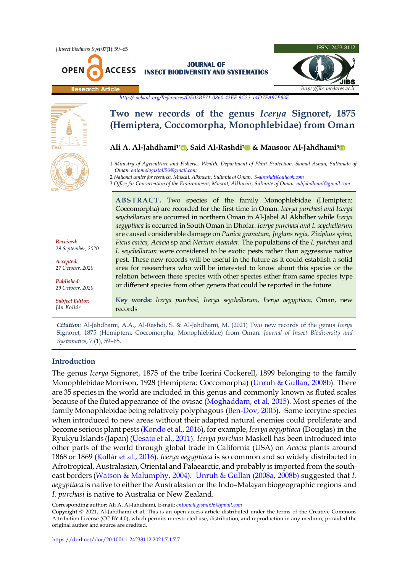**ACCESS** 



*<http://zoobank.org/References/DE03BF71-0860-42EF-9C23-14D7FA97E83E>*

**JOURNAL OF INSECT BIODIVERSITY AND SYSTEMATICS**

# **Two new records of the genus** *Icerya* **Signoret, 1875 (Hemiptera, Coccomorpha, Monophlebidae) from Oman**

# **Ali A. Al-Jahdhami1[\\*](https://orcid.org/0000-0003-1204-0491) , Said Al-Rashdi[2](https://orcid.org/0000-0002-6042-0002) & Mansoor Al-Jahdhami[3](https://orcid.org/0000-0003-2076-8204)**

1 *Ministry of Agriculture and Fisheries Wealth, [Department of Plant Protection, Samad Ashan, Sultanate of](https://orcid.org/0000-0003-2076-8204)  Oman[. entomologistali96@gmail.com](mailto:entomologistali96@gmail.com)*

- 2 *National center for research, Muscat, Alkhwair, Sultante of Oman. [S-alrashdi@outlook.com](mailto:S-alrashdi@outlook.com)*
- 3 *Office for Conservation of the Environment, Muscat, Alkhwair, Sultante of Oman. [mhjahdhami@gmail.com](mailto:mhjahdhami@gmail.com)*

**ABSTRACT.** Two species of the family Monophlebidae (Hemiptera: Coccomorpha) are recorded for the first time in Oman. *Icerya purchasi and Icerya seychellarum* are occurred in northern Oman in Al-Jabel Al Akhdher while *Icerya aegyptiaca* is occurred in South Oman in Dhofar. *Icerya purchasi and I. seychellarum* are caused considerable damage on *Punica granatum, Juglans regia, Ziziphus spina, Ficus carica, Acacia* sp and *Nerium oleander.* The populations of the *I. purchasi* and *I. seychellarum* were considered to be exotic pests rather than aggressive native pest. These new records will be useful in the future as it could establish a solid area for researchers who will be interested to know about this species or the relation between these species with other species either from same species type or different species from other genera that could be reported in the future.

**Key words:** *Icerya purchasi, Icerya seychellarum, Icerya aegyptiaca,* Oman, new records

*Citation*: Al-Jahdhami, A.A., Al-Rashdi, S. & Al-Jahdhami, M. (2021) Two new records of the genus *Icerya*  Signoret, 1875 (Hemiptera, Coccomorpha, Monophlebidae) from Oman. *Journal of Insect Biodiversity and Systematics*, 7 (1), 59–65.

### **Introduction**

The genus *Icerya* Signoret, 1875 of the tribe Icerini Cockerell, 1899 belonging to the family Monophlebidae Morrison, 1928 (Hemiptera: Coccomorpha) [\(Unruh & Gullan, 2008b\)](#page-5-0). There are 35 species in the world are included in this genus and commonly known as fluted scales because of the fluted appearance of the ovisac [\(Moghaddam, et al, 2015\)](#page-5-1). Most species of the family Monophlebidae being relatively polyphagous [\(Ben-Dov, 2005\)](#page-4-0). Some iceryine species when introduced to new areas without their adapted natural enemies could proliferate and become serious plant pests [\(Kondo et al., 2016\)](#page-5-2), for example, *Icerya aegyptiaca* (Douglas) in the Ryukyu Islands (Japan) [\(Uesato et al., 2011\).](#page-5-3) *Icerya purchasi* Maskell has been introduced into other parts of the world through global trade in California (USA) on *Acacia* plants around 1868 or 1869 [\(Kollár et al., 2016\)](#page-5-4). *Icerya aegyptiaca* is so common and so widely distributed in Afrotropical, Australasian, Oriental and Palaearctic, and probably is imported from the southeast borders [\(Watson & Malumphy, 2004\)](#page-5-5). [Unruh & Gullan \(2008a,](#page-5-6) [2008b\)](#page-5-0) suggested that *I. aegyptiaca* is native to either the Australasian or the Indo–Malayan biogeographic regions and *I. purchasi* is native to Australia or New Zealand.

Corresponding author: Ali A. Al-Jahdhami*,* E-mail: *[entomologistali96@gmail.com](mailto:Entomologistali96@gmail.com)*

**Copyright** © 2021, Al-Jahdhami et al. This is an open access article distributed under the terms of the Creative Commons Attribution License (CC BY 4.0), which permits unrestricted use, distribution, and reproduction in any medium, provided the original author and source are credited.



**OPEN** 

*Received: 29 September, 2020*

*Accepted: 27 October, 2020*

*Published: 29 October, 2020 Subject Editor: Ján Kollár*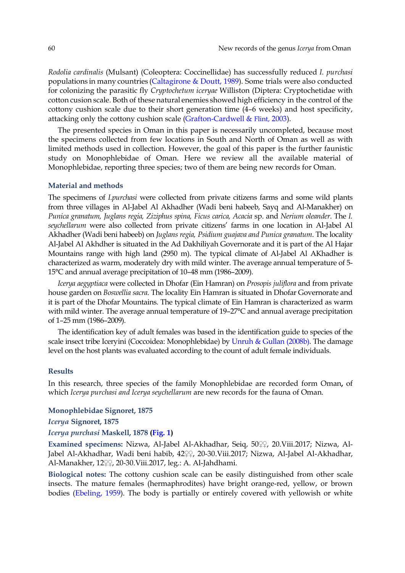*Rodolia cardinalis* (Mulsant) (Coleoptera: Coccinellidae) has successfully reduced *I. purchasi* populations in many countries ([Caltagirone & Doutt,](#page-4-1) 1989). Some trials were also conducted for colonizing the parasitic fly *Cryptochetum iceryae* Williston (Diptera: Cryptochetidae with cotton cusion scale. Both of these natural enemies showed high efficiency in the control of the cottony cushion scale due to their short generation time (4–6 weeks) and host specificity, attacking only the cottony cushion scal[e \(Grafton-Cardwell & Flint,](#page-5-7) 2003).

The presented species in Oman in this paper is necessarily uncompleted, because most the specimens collected from few locations in South and North of Oman as well as with limited methods used in collection. However, the goal of this paper is the further faunistic study on Monophlebidae of Oman. Here we review all the available material of Monophlebidae, reporting three species; two of them are being new records for Oman.

#### **Material and methods**

The specimens of *I.purchasi* were collected from private citizens farms and some wild plants from three villages in Al-Jabel Al Akhadher (Wadi beni habeeb, Sayq and Al-Manakher) on *Punica granatum, Juglans regia, Ziziphus spina, Ficus carica, Acacia* sp. and *Nerium oleander*. The *I. seychellarum* were also collected from private citizens' farms in one location in Al-Jabel Al Akhadher (Wadi beni habeeb) on *Juglans regia, Psidium guajava and Punica granatum*. The locality Al-Jabel Al Akhdher is situated in the Ad Dakhiliyah Governorate and it is part of the Al Hajar Mountains range with high land (2950 m). The typical climate of Al-Jabel Al AKhadher is characterized as warm, moderately dry with mild winter. The average annual temperature of 5- 15°C and annual average precipitation of 10–48 mm (1986–2009).

*Icerya aegyptiaca* were collected in Dhofar (Ein Hamran) on *Prosopis juliflora* and from private house garden on *Boswellia sacra*. The locality Ein Hamran is situated in Dhofar Governorate and it is part of the Dhofar Mountains. The typical climate of Ein Hamran is characterized as warm with mild winter. The average annual temperature of 19–27°C and annual average precipitation of 1–25 mm (1986–2009).

The identification key of adult females was based in the identification guide to species of the scale insect tribe Iceryini (Coccoidea: Monophlebidae) by [Unruh & Gullan \(2008b\).](#page-5-0) The damage level on the host plants was evaluated according to the count of adult female individuals.

## **Results**

In this research, three species of the family Monophlebidae are recorded form Oman**,** of which *Icerya purchasi and Icerya seychellarum* are new records for the fauna of Oman.

### **Monophlebidae Signoret, 1875**

*Icerya* **Signoret, 1875**

### *Icerya purchasi* **Maskell, 1878 [\(Fig. 1\)](#page-2-0)**

**Examined specimens:** Nizwa, Al-Jabel Al-Akhadhar, Seiq, 50♀♀, 20.Viii.2017; Nizwa, Al-Jabel Al-Akhadhar, Wadi beni habib, 42♀♀, 20-30.Viii.2017; Nizwa, Al-Jabel Al-Akhadhar, Al-Manakher, 12♀♀, 20-30.Viii.2017, leg.: A. Al-Jahdhami.

**Biological notes:** The cottony cushion scale can be easily distinguished from other scale insects. The mature females (hermaphrodites) have bright orange-red, yellow, or brown bodies [\(Ebeling, 1959\)](#page-4-2). The body is partially or entirely covered with yellowish or white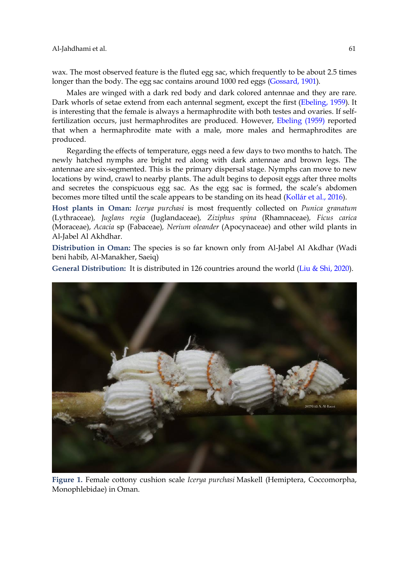wax. The most observed feature is the fluted egg sac, which frequently to be about 2.5 times longer than the body. The egg sac contains around 1000 red eggs [\(Gossard, 1901\)](#page-5-8).

Males are winged with a dark red body and dark colored antennae and they are rare. Dark whorls of setae extend from each antennal segment, except the first [\(Ebeling,](#page-4-2) 1959). It is interesting that the female is always a hermaphrodite with both testes and ovaries. If selffertilization occurs, just hermaphrodites are produced. However, [Ebeling \(1959\)](#page-4-2) reported that when a hermaphrodite mate with a male, more males and hermaphrodites are produced.

Regarding the effects of temperature, eggs need a few days to two months to hatch. The newly hatched nymphs are bright red along with dark antennae and brown legs. The antennae are six-segmented. This is the primary dispersal stage. Nymphs can move to new locations by wind, crawl to nearby plants. The adult begins to deposit eggs after three molts and secretes the conspicuous egg sac. As the egg sac is formed, the scale's abdomen becomes more tilted until the scale appears to be standing on its head [\(Kollár et al., 2016\)](#page-5-4).

**Host plants in Oman:** *Icerya purchasi* is most frequently collected on *Punica granatum*  (Lythraceae)*, Juglans regia* (Juglandaceae)*, Ziziphus spina* (Rhamnaceae)*, Ficus carica*  (Moraceae), *Acacia* sp (Fabaceae)*, Nerium oleander* (Apocynaceae) and other wild plants in Al-Jabel Al Akhdhar.

**Distribution in Oman:** The species is so far known only from Al-Jabel Al Akdhar (Wadi beni habib, Al-Manakher, Saeiq)

**General Distribution:** It is distributed in 126 countries around the world [\(Liu & Shi, 2020\)](#page-5-9).

<span id="page-2-0"></span>

**Figure 1.** Female cottony cushion scale *Icerya purchasi* Maskell (Hemiptera, Coccomorpha, Monophlebidae) in Oman.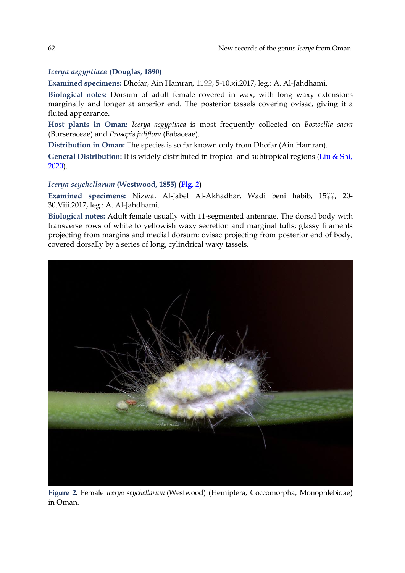# *Icerya aegyptiaca* **(Douglas, 1890)**

**Examined specimens:** Dhofar, Ain Hamran, 11♀♀, 5-10.xi.2017, leg.: A. Al-Jahdhami.

**Biological notes:** Dorsum of adult female covered in wax, with long waxy extensions marginally and longer at anterior end. The posterior tassels covering ovisac, giving it a fluted appearance**.**

**Host plants in Oman:** *Icerya aegyptiaca* is most frequently collected on *Boswellia sacra*  (Burseraceae) and *Prosopis juliflora* (Fabaceae).

**Distribution in Oman:** The species is so far known only from Dhofar (Ain Hamran).

**General Distribution:** It is widely distributed in tropical and subtropical regions [\(Liu & Shi,](#page-5-9)  [2020\)](#page-5-9).

## *Icerya seychellarum* **(Westwood, 1855) [\(Fig. 2\)](#page-3-0)**

**Examined specimens:** Nizwa, Al-Jabel Al-Akhadhar, Wadi beni habib, 15♀♀, 20- 30.Viii.2017, leg.: A. Al-Jahdhami.

**Biological notes:** Adult female usually with 11-segmented antennae. The dorsal body with transverse rows of white to yellowish waxy secretion and marginal tufts; glassy filaments projecting from margins and medial dorsum; ovisac projecting from posterior end of body, covered dorsally by a series of long, cylindrical waxy tassels.

<span id="page-3-0"></span>

**Figure 2.** Female *Icerya seychellarum* (Westwood) (Hemiptera, Coccomorpha, Monophlebidae) in Oman.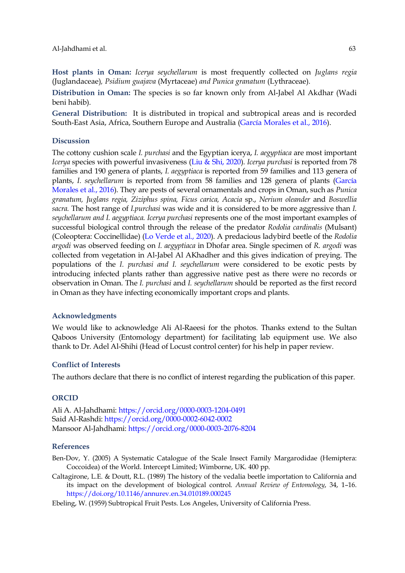**Host plants in Oman:** *Icerya seychellarum* is most frequently collected on *Juglans regia*  (Juglandaceae)*, Psidium guajava* (Myrtaceae) *and Punica granatum* (Lythraceae)*.*

**Distribution in Oman:** The species is so far known only from Al-Jabel Al Akdhar (Wadi beni habib).

**General Distribution:** It is distributed in tropical and subtropical areas and is recorded South-East Asia, Africa, Southern Europe and Australia [\(García Morales et al., 2016\)](#page-5-10).

### **Discussion**

The cottony cushion scale *I. purchasi* and the Egyptian icerya, *I. aegyptiaca* are most important *Icerya* species with powerful invasiveness [\(Liu & Shi, 2020\)](#page-5-9). *Icerya purchasi* is reported from 78 families and 190 genera of plants, *I. aegyptiaca* is reported from 59 families and 113 genera of plants, *I. seychellarum* is reported from from 58 families and 128 genera of plants [\(García](#page-5-10)  [Morales et al., 2016\)](#page-5-10). They are pests of several ornamentals and crops in Oman, such as *Punica granatum, Juglans regia, Ziziphus spina, Ficus carica, Acacia* sp., *Nerium oleander* and *Boswellia sacra.* The host range of *I.purchasi* was wide and it is considered to be more aggressive than *I. seychellarum and I. aegyptiaca. Icerya purchasi* represents one of the most important examples of successful biological control through the release of the predator *Rodolia cardinalis* (Mulsant) (Coleoptera: Coccinellidae) ([Lo Verde et al.](#page-5-11), 2020). A predacious ladybird beetle of the *Rodolia argodi* was observed feeding on *I. aegyptiaca* in Dhofar area. Single specimen of *R. argodi* was collected from vegetation in Al-Jabel Al AKhadher and this gives indication of preying. The populations of the *I. purchasi and I. seychellarum* were considered to be exotic pests by introducing infected plants rather than aggressive native pest as there were no records or observation in Oman. The *I. purchasi* and *I. seychellarum* should be reported as the first record in Oman as they have infecting economically important crops and plants.

### **Acknowledgments**

We would like to acknowledge Ali Al-Raeesi for the photos. Thanks extend to the Sultan Qaboos University (Entomology department) for facilitating lab equipment use. We also thank to Dr. Adel Al-Shihi (Head of Locust control center) for his help in paper review.

### **Conflict of Interests**

The authors declare that there is no conflict of interest regarding the publication of this paper.

### **ORCID**

Ali A. Al-Jahdhami:<https://orcid.org/0000-0003-1204-0491> Said Al-Rashdi: <https://orcid.org/0000-0002-6042-0002> Mansoor Al-Jahdhami[: https://orcid.org/0000-0003-2076-8204](https://orcid.org/0000-0003-2076-8204)

### **References**

<span id="page-4-0"></span>Ben-Dov, Y. (2005) A Systematic Catalogue of the Scale Insect Family Margarodidae (Hemiptera: Coccoidea) of the World. Intercept Limited; Wimborne, UK. 400 pp.

<span id="page-4-1"></span>Caltagirone, L.E. & Doutt, R.L. (1989) The history of the vedalia beetle importation to California and its impact on the development of biological control. *Annual Review of Entomology*, 34, 1–16. <https://doi.org/10.1146/annurev.en.34.010189.000245>

<span id="page-4-2"></span>Ebeling, W. (1959) Subtropical Fruit Pests. Los Angeles, University of California Press.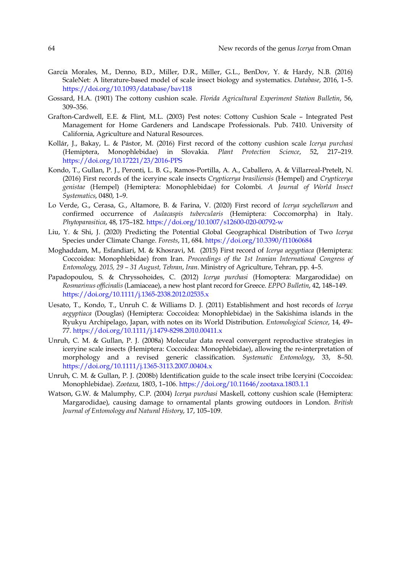- <span id="page-5-10"></span>García Morales, M., Denno, B.D., Miller, D.R., Miller, G.L., BenDov, Y. & Hardy, N.B. (2016) ScaleNet: A literature-based model of scale insect biology and systematics. *Database*, 2016, 1–5. <https://doi.org/10.1093/database/bav118>
- <span id="page-5-8"></span>Gossard, H.A. (1901) The cottony cushion scale. *Florida Agricultural Experiment Station Bulletin*, 56, 309–356.
- <span id="page-5-7"></span>Grafton-Cardwell, E.E. & Flint, M.L. (2003) Pest notes: Cottony Cushion Scale – Integrated Pest Management for Home Gardeners and Landscape Professionals. Pub. 7410. University of California, Agriculture and Natural Resources.
- <span id="page-5-4"></span>Kollár, J., Bakay, L. & Pástor, M. (2016) First record of the cottony cushion scale *Icerya purchasi* (Hemiptera, Monophlebidae) in Slovakia. *Plant Protection Science*, 52, 217–219. <https://doi.org/10.17221/23/2016-PPS>
- <span id="page-5-2"></span>Kondo, T., Gullan, P. J., Peronti, L. B. G., Ramos-Portilla, A. A., Caballero, A. & Villarreal-Pretelt, N. (2016) First records of the iceryine scale insects *Crypticerya brasiliensis* (Hempel) and *Crypticerya genistae* (Hempel) (Hemiptera: Monophlebidae) for Colombi. *A Journal of World Insect Systematics*, 0480, 1–9.
- <span id="page-5-11"></span>Lo Verde, G., Cerasa, G., Altamore, B. & Farina, V. (2020) First record of *Icerya seychellarum* and confirmed occurrence of *Aulacaspis tubercularis* (Hemiptera: Coccomorpha) in Italy. *Phytoparasitica*, 48, 175–182.<https://doi.org/10.1007/s12600-020-00792-w>
- <span id="page-5-9"></span>Liu, Y. & Shi, J. (2020) Predicting the Potential Global Geographical Distribution of Two *Icerya* Species under Climate Change. *Forests*, 11, 684[. https://doi.org/10.3390/f11060684](https://doi.org/10.3390/f11060684)
- <span id="page-5-1"></span>Moghaddam, M., Esfandiari, M. & Khosravi, M. (2015) First record of *Icerya aegyptiaca* (Hemiptera: Coccoidea: Monophlebidae) from Iran. *Proceedings of the 1st Iranian International Congress of Entomology, 2015, 29 – 31 August, Tehran*, *Iran*. Ministry of Agriculture, Tehran, pp. 4–5.
- Papadopoulou, S. & Chryssohoides, C. (2012) *Icerya purchasi* (Homoptera: Margarodidae) on *Rosmarinus officinalis* (Lamiaceae), a new host plant record for Greece. *EPPO Bulletin*, 42, 148–149. <https://doi.org/10.1111/j.1365-2338.2012.02535.x>
- <span id="page-5-3"></span>Uesato, T., Kondo, T., Unruh C. & Williams D. J. (2011) Establishment and host records of *Icerya aegyptiaca* (Douglas) (Hemiptera: Coccoidea: Monophlebidae) in the Sakishima islands in the Ryukyu Archipelago, Japan, with notes on its World Distribution. *Entomological Science*, 14, 49– 77.<https://doi.org/10.1111/j.1479-8298.2010.00411.x>
- <span id="page-5-6"></span>Unruh, C. M. & Gullan, P. J. (2008a) Molecular data reveal convergent reproductive strategies in iceryine scale insects (Hemiptera: Coccoidea: Monophlebidae), allowing the re-interpretation of morphology and a revised generic classification. *Systematic Entomology*, 33, 8–50. <https://doi.org/10.1111/j.1365-3113.2007.00404.x>
- <span id="page-5-0"></span>Unruh, C. M. & Gullan, P. J. (2008b) Identification guide to the scale insect tribe Iceryini (Coccoidea: Monophlebidae). *Zootaxa*, 1803, 1–106. <https://doi.org/10.11646/zootaxa.1803.1.1>
- <span id="page-5-5"></span>Watson, G.W. & Malumphy, C.P. (2004) *Icerya purchasi* Maskell, cottony cushion scale (Hemiptera: Margarodidae), causing damage to ornamental plants growing outdoors in London. *British Journal of Entomology and Natural History*, 17, 105–109.